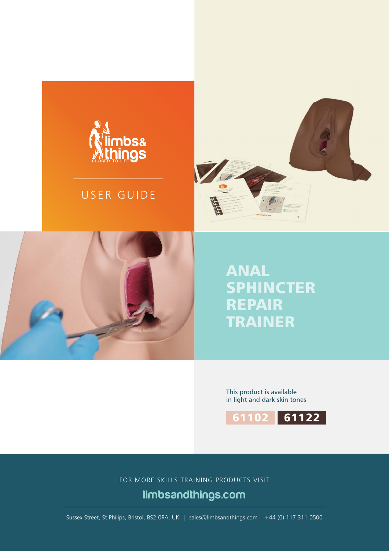

## USER GUIDE





# ANAL SPHINCTER REPAIR TRAINER

This product is available in light and dark skin tones



FOR MORE SKILLS TRAINING PRODUCTS VISIT

limbsandthings.com

Sussex Street, St Philips, Bristol, BS2 0RA, UK | sales@limbsandthings.com | +44 (0) 117 311 0500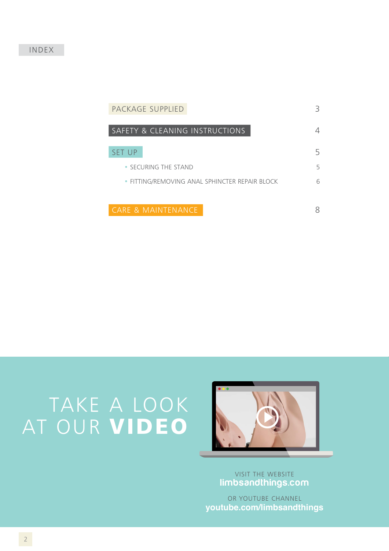#### INDEX

| PACKAGE SUPPLIED                               | 3 |
|------------------------------------------------|---|
| SAFETY & CLEANING INSTRUCTIONS                 |   |
| <b>SET UP</b>                                  | 5 |
| • SECURING THE STAND                           | 5 |
| • FITTING/REMOVING ANAL SPHINCTER REPAIR BLOCK | 6 |
|                                                |   |
| <b>CARE &amp; MAINTENANCE</b>                  |   |

# TAKE A LOOK AT OUR VIDEO



VISIT THE WEBSITE limbsandthings.com

OR YOUTUBE CHANNEL **youtube.com/limbsandthings**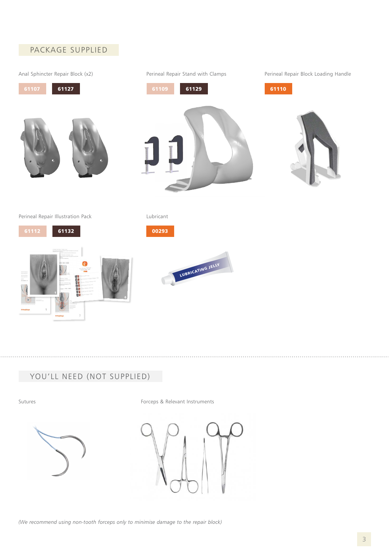

### YOU'LL NEED (NOT SUPPLIED)

Sutures **Forceps & Relevant Instruments** 



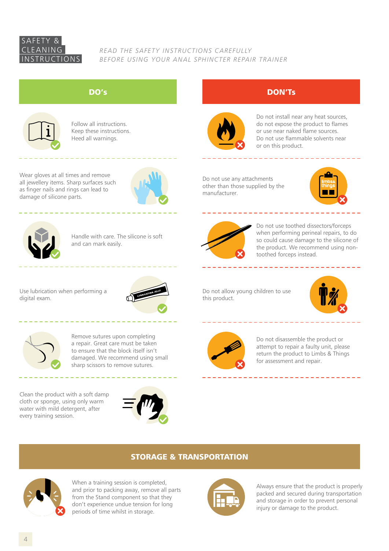#### SAFETY & CLEANING INSTRUCTIONS

*READ THE SAFETY INSTRUCTIONS CAREFULLY BEFORE USING YOUR ANAL SPHINCTER REPAIR TRAINER*



Follow all instructions. Keep these instructions. Heed all warnings.

Wear gloves at all times and remove all jewellery items. Sharp surfaces such as finger nails and rings can lead to damage of silicone parts.





Handle with care. The silicone is soft and can mark easily.

Use lubrication when performing a digital exam.





Remove sutures upon completing a repair. Great care must be taken to ensure that the block itself isn't damaged. We recommend using small sharp scissors to remove sutures.

Clean the product with a soft damp cloth or sponge, using only warm water with mild detergent, after every training session.







Do not install near any heat sources, do not expose the product to flames or use near naked flame sources. Do not use flammable solvents near or on this product.

\_\_\_\_\_\_\_\_\_

Do not use any attachments other than those supplied by the manufacturer.

. <u>. . . . . . . . . .</u> .





Do not use toothed dissectors/forceps when performing perineal repairs, to do so could cause damage to the silicone of the product. We recommend using nontoothed forceps instead.

 $- - - - - - - - - -$ 

Do not allow young children to use this product.





Do not disassemble the product or attempt to repair a faulty unit, please return the product to Limbs & Things for assessment and repair.

\_\_\_\_\_\_\_\_\_\_\_\_\_\_\_\_\_\_\_

#### STORAGE & TRANSPORTATION



When a training session is completed, and prior to packing away, remove all parts from the Stand component so that they don't experience undue tension for long periods of time whilst in storage.



Always ensure that the product is properly packed and secured during transportation and storage in order to prevent personal injury or damage to the product.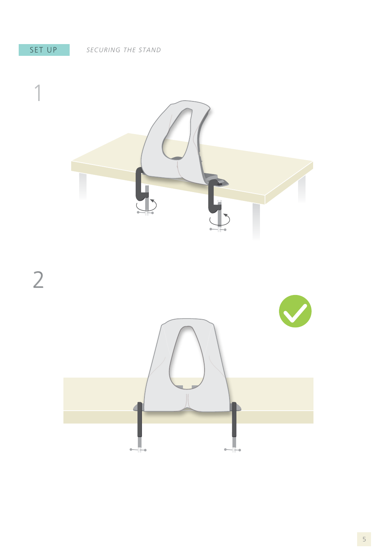### SET UP



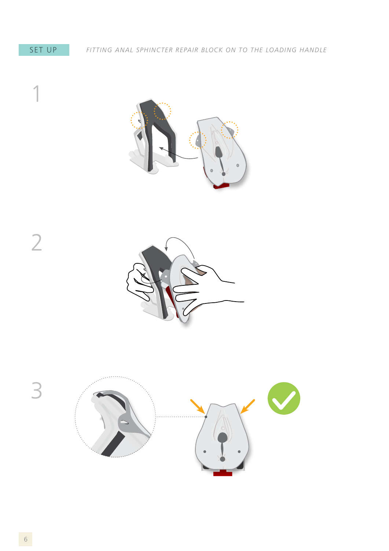





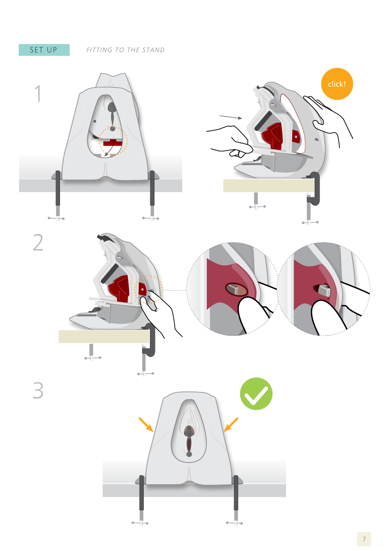SET UP *FITTING TO THE STAND*